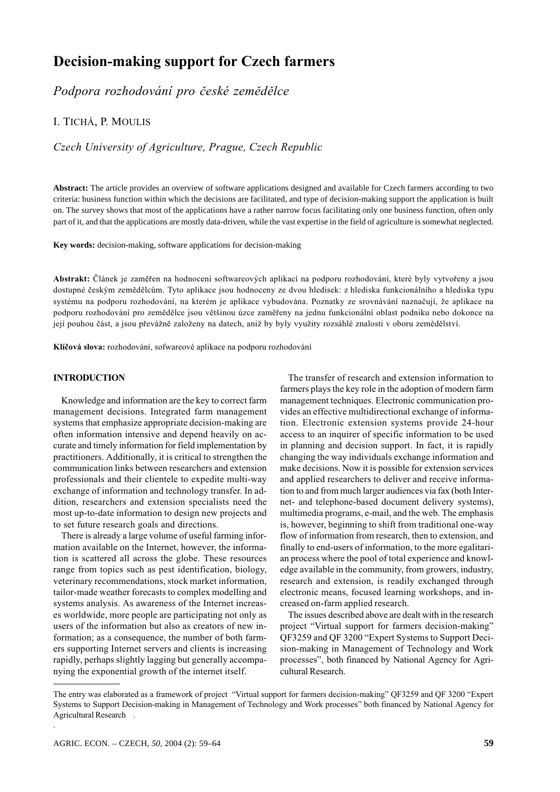# **Decision-making support for Czech farmers**

Podpora rozhodování pro české zemědělce

I. TICHÁ, P. MOULIS

Czech University of Agriculture, Prague, Czech Republic

**Abstract:** The article provides an overview of software applications designed and available for Czech farmers according to two criteria: business function within which the decisions are facilitated, and type of decision-making support the application is built on. The survey shows that most of the applications have a rather narrow focus facilitating only one business function, often only part of it, and that the applications are mostly data-driven, while the vast expertise in the field of agriculture is somewhat neglected.

**Key words:** decision-making, software applications for decision-making

Abstrakt: Článek je zaměřen na hodnocení softwareových aplikací na podporu rozhodování, které byly vytvořeny a jsou dostupné českým zemědělcům. Tyto aplikace jsou hodnoceny ze dvou hledisek: z hlediska funkcionálního a hlediska typu systému na podporu rozhodování, na kterém je aplikace vybudována. Poznatky ze srovnávání naznačují, že aplikace na podporu rozhodování pro zemědělce jsou většinou úzce zaměřeny na jednu funkcionální oblast podniku nebo dokonce na její pouhou část, a jsou převážně založeny na datech, aniž by byly využity rozsáhlé znalosti v oboru zemědělství.

Klíčová slova: rozhodování, sofwareové aplikace na podporu rozhodování

#### **INTRODUCTION**

Knowledge and information are the key to correct farm management decisions. Integrated farm management systems that emphasize appropriate decision-making are often information intensive and depend heavily on accurate and timely information for field implementation by practitioners. Additionally, it is critical to strengthen the communication links between researchers and extension professionals and their clientele to expedite multi-way exchange of information and technology transfer. In addition, researchers and extension specialists need the most up-to-date information to design new projects and to set future research goals and directions.

There is already a large volume of useful farming information available on the Internet, however, the information is scattered all across the globe. These resources range from topics such as pest identification, biology, veterinary recommendations, stock market information, tailor-made weather forecasts to complex modelling and systems analysis. As awareness of the Internet increases worldwide, more people are participating not only as users of the information but also as creators of new information; as a consequence, the number of both farmers supporting Internet servers and clients is increasing rapidly, perhaps slightly lagging but generally accompanying the exponential growth of the internet itself.

The transfer of research and extension information to farmers plays the key role in the adoption of modern farm management techniques. Electronic communication provides an effective multidirectional exchange of information. Electronic extension systems provide 24-hour access to an inquirer of specific information to be used in planning and decision support. In fact, it is rapidly changing the way individuals exchange information and make decisions. Now it is possible for extension services and applied researchers to deliver and receive information to and from much larger audiences via fax (both Internet- and telephone-based document delivery systems), multimedia programs, e-mail, and the web. The emphasis is, however, beginning to shift from traditional one-way flow of information from research, then to extension, and finally to end-users of information, to the more egalitarian process where the pool of total experience and knowledge available in the community, from growers, industry, research and extension, is readily exchanged through electronic means, focused learning workshops, and increased on-farm applied research.

The issues described above are dealt with in the research project "Virtual support for farmers decision-making" QF3259 and QF 3200 "Expert Systems to Support Decision-making in Management of Technology and Work processes", both financed by National Agency for Agricultural Research.

.

The entry was elaborated as a framework of project "Virtual support for farmers decision-making" QF3259 and QF 3200 "Expert Systems to Support Decision-making in Management of Technology and Work processes" both financed by National Agency for Agricultural Research.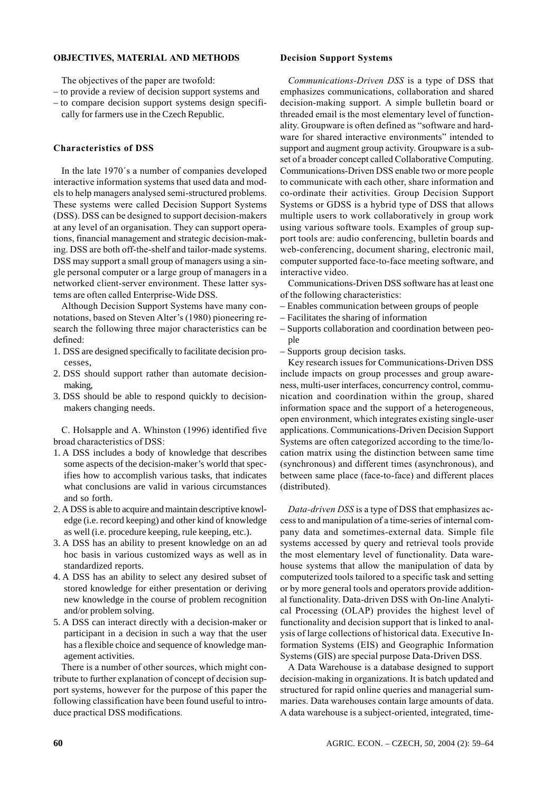### **OBJECTIVES, MATERIAL AND METHODS**

The objectives of the paper are twofold:

- to provide a review of decision support systems and
- to compare decision support systems design specifically for farmers use in the Czech Republic.

#### **Characteristics of DSS**

In the late 1970's a number of companies developed interactive information systems that used data and models to help managers analysed semi-structured problems. These systems were called Decision Support Systems (DSS). DSS can be designed to support decision-makers at any level of an organisation. They can support operations, financial management and strategic decision-making. DSS are both off-the-shelf and tailor-made systems. DSS may support a small group of managers using a single personal computer or a large group of managers in a networked client-server environment. These latter systems are often called Enterprise-Wide DSS.

Although Decision Support Systems have many connotations, based on Steven Alter's (1980) pioneering research the following three major characteristics can be defined:

- 1. DSS are designed specifically to facilitate decision processes.
- 2. DSS should support rather than automate decisionmaking,
- 3. DSS should be able to respond quickly to decisionmakers changing needs.

C. Holsapple and A. Whinston (1996) identified five broad characteristics of DSS:

- 1. A DSS includes a body of knowledge that describes some aspects of the decision-maker's world that specifies how to accomplish various tasks, that indicates what conclusions are valid in various circumstances and so forth.
- 2. A DSS is able to acquire and maintain descriptive knowledge (i.e. record keeping) and other kind of knowledge as well (i.e. procedure keeping, rule keeping, etc.).
- 3. A DSS has an ability to present knowledge on an ad hoc basis in various customized ways as well as in standardized reports.
- 4. A DSS has an ability to select any desired subset of stored knowledge for either presentation or deriving new knowledge in the course of problem recognition and/or problem solving.
- 5. A DSS can interact directly with a decision-maker or participant in a decision in such a way that the user has a flexible choice and sequence of knowledge management activities.

There is a number of other sources, which might contribute to further explanation of concept of decision support systems, however for the purpose of this paper the following classification have been found useful to introduce practical DSS modifications.

## **Decision Support Systems**

Communications-Driven DSS is a type of DSS that emphasizes communications, collaboration and shared decision-making support. A simple bulletin board or threaded email is the most elementary level of functionality. Groupware is often defined as "software and hardware for shared interactive environments" intended to support and augment group activity. Groupware is a subset of a broader concept called Collaborative Computing. Communications-Driven DSS enable two or more people to communicate with each other, share information and co-ordinate their activities. Group Decision Support Systems or GDSS is a hybrid type of DSS that allows multiple users to work collaboratively in group work using various software tools. Examples of group support tools are: audio conferencing, bulletin boards and web-conferencing, document sharing, electronic mail, computer supported face-to-face meeting software, and interactive video.

Communications-Driven DSS software has at least one of the following characteristics:

- Enables communication between groups of people
- Facilitates the sharing of information
- Supports collaboration and coordination between people
- Supports group decision tasks.

Key research issues for Communications-Driven DSS include impacts on group processes and group awareness, multi-user interfaces, concurrency control, communication and coordination within the group, shared information space and the support of a heterogeneous, open environment, which integrates existing single-user applications. Communications-Driven Decision Support Systems are often categorized according to the time/location matrix using the distinction between same time (synchronous) and different times (asynchronous), and between same place (face-to-face) and different places (distributed).

Data-driven DSS is a type of DSS that emphasizes access to and manipulation of a time-series of internal company data and sometimes-external data. Simple file systems accessed by query and retrieval tools provide the most elementary level of functionality. Data warehouse systems that allow the manipulation of data by computerized tools tailored to a specific task and setting or by more general tools and operators provide additional functionality. Data-driven DSS with On-line Analytical Processing (OLAP) provides the highest level of functionality and decision support that is linked to analysis of large collections of historical data. Executive Information Systems (EIS) and Geographic Information Systems (GIS) are special purpose Data-Driven DSS.

A Data Warehouse is a database designed to support decision-making in organizations. It is batch updated and structured for rapid online queries and managerial summaries. Data warehouses contain large amounts of data. A data warehouse is a subject-oriented, integrated, time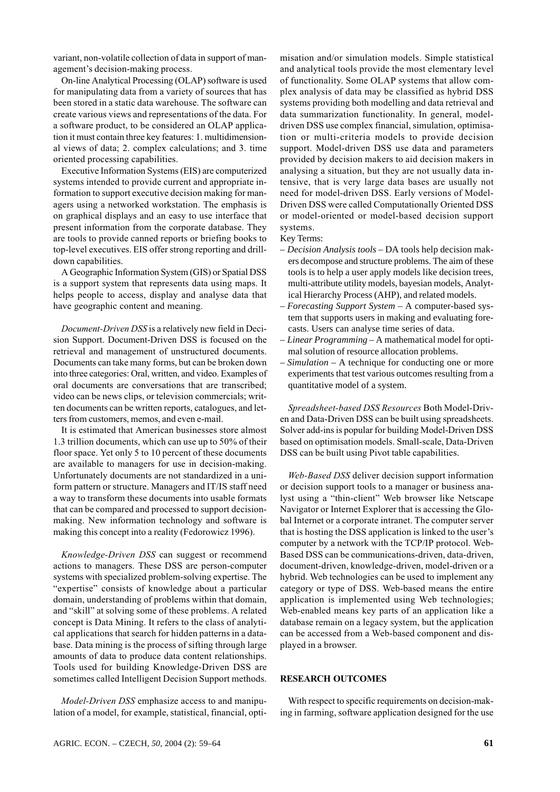variant, non-volatile collection of data in support of management's decision-making process.

On-line Analytical Processing (OLAP) software is used for manipulating data from a variety of sources that has been stored in a static data warehouse. The software can create various views and representations of the data. For a software product, to be considered an OLAP application it must contain three key features: 1. multidimensional views of data; 2. complex calculations; and 3. time oriented processing capabilities.

Executive Information Systems (EIS) are computerized systems intended to provide current and appropriate information to support executive decision making for managers using a networked workstation. The emphasis is on graphical displays and an easy to use interface that present information from the corporate database. They are tools to provide canned reports or briefing books to top-level executives. EIS offer strong reporting and drilldown capabilities.

A Geographic Information System (GIS) or Spatial DSS is a support system that represents data using maps. It helps people to access, display and analyse data that have geographic content and meaning.

Document-Driven DSS is a relatively new field in Decision Support. Document-Driven DSS is focused on the retrieval and management of unstructured documents. Documents can take many forms, but can be broken down into three categories: Oral, written, and video. Examples of oral documents are conversations that are transcribed; video can be news clips, or television commercials; written documents can be written reports, catalogues, and letters from customers, memos, and even e-mail.

It is estimated that American businesses store almost 1.3 trillion documents, which can use up to 50% of their floor space. Yet only 5 to 10 percent of these documents are available to managers for use in decision-making. Unfortunately documents are not standardized in a uniform pattern or structure. Managers and IT/IS staff need a way to transform these documents into usable formats that can be compared and processed to support decisionmaking. New information technology and software is making this concept into a reality (Fedorowicz 1996).

Knowledge-Driven DSS can suggest or recommend actions to managers. These DSS are person-computer systems with specialized problem-solving expertise. The "expertise" consists of knowledge about a particular domain, understanding of problems within that domain, and "skill" at solving some of these problems. A related concept is Data Mining. It refers to the class of analytical applications that search for hidden patterns in a database. Data mining is the process of sifting through large amounts of data to produce data content relationships. Tools used for building Knowledge-Driven DSS are sometimes called Intelligent Decision Support methods.

Model-Driven DSS emphasize access to and manipulation of a model, for example, statistical, financial, opti-

misation and/or simulation models. Simple statistical and analytical tools provide the most elementary level of functionality. Some OLAP systems that allow complex analysis of data may be classified as hybrid DSS systems providing both modelling and data retrieval and data summarization functionality. In general, modeldriven DSS use complex financial, simulation, optimisation or multi-criteria models to provide decision support. Model-driven DSS use data and parameters provided by decision makers to aid decision makers in analysing a situation, but they are not usually data intensive, that is very large data bases are usually not need for model-driven DSS. Early versions of Model-Driven DSS were called Computationally Oriented DSS or model-oriented or model-based decision support systems.

#### Key Terms:

- *Decision Analysis tools* DA tools help decision makers decompose and structure problems. The aim of these tools is to help a user apply models like decision trees, multi-attribute utility models, bayesian models, Analytical Hierarchy Process (AHP), and related models.
- *Forecasting Support System* A computer-based system that supports users in making and evaluating forecasts. Users can analyse time series of data.
- *Linear Programming* A mathematical model for optimal solution of resource allocation problems.
- *Simulation* A technique for conducting one or more experiments that test various outcomes resulting from a quantitative model of a system.

Spreadsheet-based DSS Resources Both Model-Driven and Data-Driven DSS can be built using spreadsheets. Solver add-ins is popular for building Model-Driven DSS based on optimisation models. Small-scale, Data-Driven DSS can be built using Pivot table capabilities.

Web-Based DSS deliver decision support information or decision support tools to a manager or business analyst using a "thin-client" Web browser like Netscape Navigator or Internet Explorer that is accessing the Global Internet or a corporate intranet. The computer server that is hosting the DSS application is linked to the user's computer by a network with the TCP/IP protocol. Web-Based DSS can be communications-driven, data-driven, document-driven, knowledge-driven, model-driven or a hybrid. Web technologies can be used to implement any category or type of DSS. Web-based means the entire application is implemented using Web technologies; Web-enabled means key parts of an application like a database remain on a legacy system, but the application can be accessed from a Web-based component and displayed in a browser.

## RESEARCH OUTCOMES

With respect to specific requirements on decision-making in farming, software application designed for the use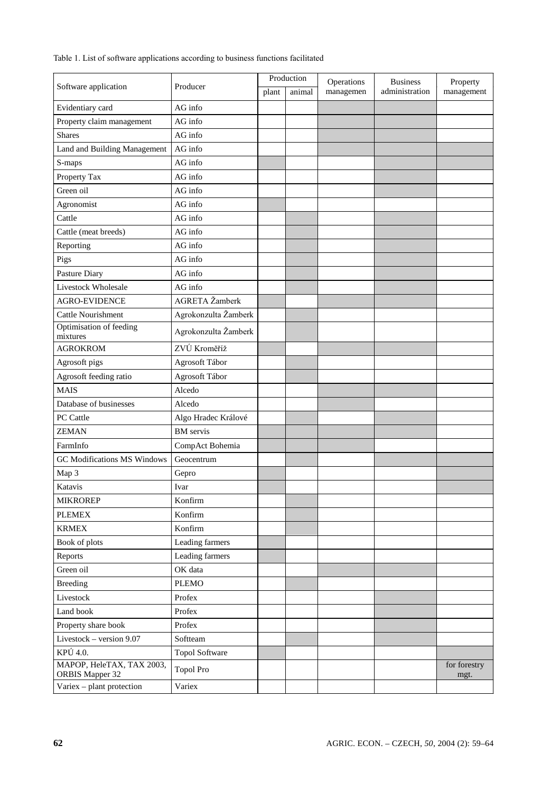Table 1. List of software applications according to business functions facilitated

| Software application                                | Producer              | Production |        | Operations | <b>Business</b> | Property             |
|-----------------------------------------------------|-----------------------|------------|--------|------------|-----------------|----------------------|
|                                                     |                       | plant      | animal | managemen  | administration  | management           |
| Evidentiary card                                    | AG info               |            |        |            |                 |                      |
| Property claim management                           | AG info               |            |        |            |                 |                      |
| <b>Shares</b>                                       | AG info               |            |        |            |                 |                      |
| Land and Building Management                        | AG info               |            |        |            |                 |                      |
| S-maps                                              | AG info               |            |        |            |                 |                      |
| Property Tax                                        | AG info               |            |        |            |                 |                      |
| Green oil                                           | AG info               |            |        |            |                 |                      |
| Agronomist                                          | AG info               |            |        |            |                 |                      |
| Cattle                                              | AG info               |            |        |            |                 |                      |
| Cattle (meat breeds)                                | AG info               |            |        |            |                 |                      |
| Reporting                                           | AG info               |            |        |            |                 |                      |
| Pigs                                                | AG info               |            |        |            |                 |                      |
| Pasture Diary                                       | AG info               |            |        |            |                 |                      |
| Livestock Wholesale                                 | AG info               |            |        |            |                 |                      |
| <b>AGRO-EVIDENCE</b>                                | <b>AGRETA</b> Žamberk |            |        |            |                 |                      |
| Cattle Nourishment                                  | Agrokonzulta Žamberk  |            |        |            |                 |                      |
| Optimisation of feeding<br>mixtures                 | Agrokonzulta Žamberk  |            |        |            |                 |                      |
| <b>AGROKROM</b>                                     | ZVÚ Kroměříž          |            |        |            |                 |                      |
| Agrosoft pigs                                       | Agrosoft Tábor        |            |        |            |                 |                      |
| Agrosoft feeding ratio                              | Agrosoft Tábor        |            |        |            |                 |                      |
| <b>MAIS</b>                                         | Alcedo                |            |        |            |                 |                      |
| Database of businesses                              | Alcedo                |            |        |            |                 |                      |
| PC Cattle                                           | Algo Hradec Králové   |            |        |            |                 |                      |
| <b>ZEMAN</b>                                        | <b>BM</b> servis      |            |        |            |                 |                      |
| FarmInfo                                            | CompAct Bohemia       |            |        |            |                 |                      |
| GC Modifications MS Windows                         | Geocentrum            |            |        |            |                 |                      |
| Map 3                                               | Gepro                 |            |        |            |                 |                      |
| Katavis                                             | Ivar                  |            |        |            |                 |                      |
| <b>MIKROREP</b>                                     | Konfirm               |            |        |            |                 |                      |
| <b>PLEMEX</b>                                       | Konfirm               |            |        |            |                 |                      |
| <b>KRMEX</b>                                        | Konfirm               |            |        |            |                 |                      |
| Book of plots                                       | Leading farmers       |            |        |            |                 |                      |
| Reports                                             | Leading farmers       |            |        |            |                 |                      |
| Green oil                                           | OK data               |            |        |            |                 |                      |
| <b>Breeding</b>                                     | <b>PLEMO</b>          |            |        |            |                 |                      |
| Livestock                                           | Profex                |            |        |            |                 |                      |
| Land book                                           | Profex                |            |        |            |                 |                      |
| Property share book                                 | Profex                |            |        |            |                 |                      |
| Livestock - version 9.07                            | Softteam              |            |        |            |                 |                      |
| KPÚ 4.0.                                            | Topol Software        |            |        |            |                 |                      |
| MAPOP, HeleTAX, TAX 2003,<br><b>ORBIS Mapper 32</b> | <b>Topol Pro</b>      |            |        |            |                 | for forestry<br>mgt. |
| Variex - plant protection                           | Variex                |            |        |            |                 |                      |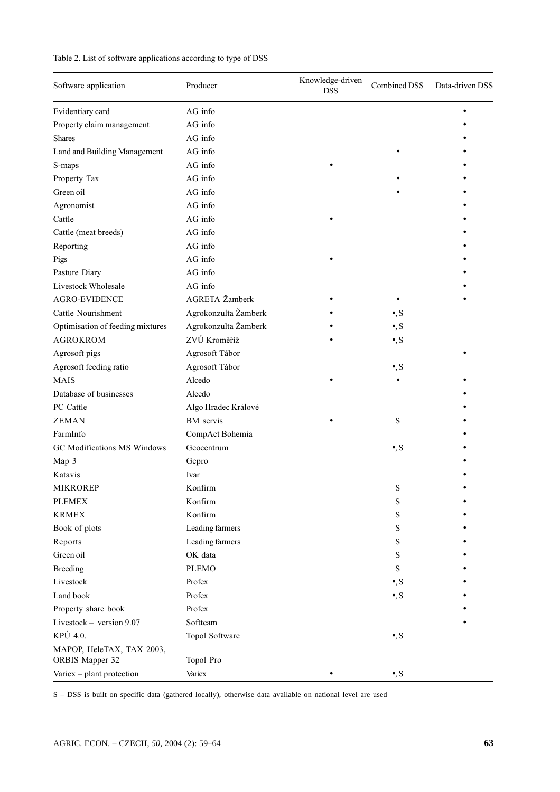#### Table 2. List of software applications according to type of DSS

| Software application                         | Producer             | Knowledge-driven<br><b>DSS</b> | Combined DSS          | Data-driven DSS |
|----------------------------------------------|----------------------|--------------------------------|-----------------------|-----------------|
| Evidentiary card                             | AG info              |                                |                       |                 |
| Property claim management                    | AG info              |                                |                       |                 |
| <b>Shares</b>                                | AG info              |                                |                       |                 |
| Land and Building Management                 | AG info              |                                |                       |                 |
| S-maps                                       | AG info              |                                |                       |                 |
| Property Tax                                 | AG info              |                                |                       |                 |
| Green oil                                    | AG info              |                                |                       |                 |
| Agronomist                                   | AG info              |                                |                       |                 |
| Cattle                                       | AG info              |                                |                       |                 |
| Cattle (meat breeds)                         | AG info              |                                |                       |                 |
| Reporting                                    | AG info              |                                |                       |                 |
| Pigs                                         | AG info              |                                |                       |                 |
| Pasture Diary                                | AG info              |                                |                       |                 |
| Livestock Wholesale                          | AG info              |                                |                       |                 |
| <b>AGRO-EVIDENCE</b>                         | AGRETA Žamberk       |                                |                       |                 |
| Cattle Nourishment                           | Agrokonzulta Žamberk |                                | $\bullet$ , S         |                 |
| Optimisation of feeding mixtures             | Agrokonzulta Žamberk |                                | $\bullet$ , S         |                 |
| <b>AGROKROM</b>                              | ZVÚ Kroměříž         |                                | $\bullet$ , S         |                 |
| Agrosoft pigs                                | Agrosoft Tábor       |                                |                       |                 |
| Agrosoft feeding ratio                       | Agrosoft Tábor       |                                | $\bullet, S$          |                 |
| <b>MAIS</b>                                  | Alcedo               |                                |                       |                 |
| Database of businesses                       | Alcedo               |                                |                       |                 |
| PC Cattle                                    | Algo Hradec Králové  |                                |                       |                 |
| <b>ZEMAN</b>                                 | BM servis            |                                | S                     |                 |
| FarmInfo                                     | CompAct Bohemia      |                                |                       |                 |
| GC Modifications MS Windows                  | Geocentrum           |                                | $\bullet$ , S         |                 |
| Map 3                                        | Gepro                |                                |                       |                 |
| Katavis                                      | Ivar                 |                                |                       |                 |
| <b>MIKROREP</b>                              | Konfirm              |                                | S                     |                 |
| <b>PLEMEX</b>                                | Konfirm              |                                | S                     |                 |
| <b>KRMEX</b>                                 | Konfirm              |                                | S                     |                 |
| Book of plots                                | Leading farmers      |                                | S                     |                 |
| Reports                                      | Leading farmers      |                                | S                     |                 |
| Green oil                                    | OK data              |                                | S                     |                 |
| Breeding                                     | <b>PLEMO</b>         |                                | S                     |                 |
| Livestock                                    | Profex               |                                | $\bullet$ , S         |                 |
| Land book                                    | Profex               |                                | $\bullet$ , S         |                 |
| Property share book                          | Profex               |                                |                       |                 |
| Livestock - version $9.07$                   | Softteam             |                                |                       |                 |
| KPÚ 4.0.                                     | Topol Software       |                                | $\bullet$ , S         |                 |
| MAPOP, HeleTAX, TAX 2003,<br>ORBIS Mapper 32 | Topol Pro            |                                |                       |                 |
| Variex - plant protection                    | Variex               |                                | $\bullet, \mathrm{S}$ |                 |

S – DSS is built on specific data (gathered locally), otherwise data available on national level are used